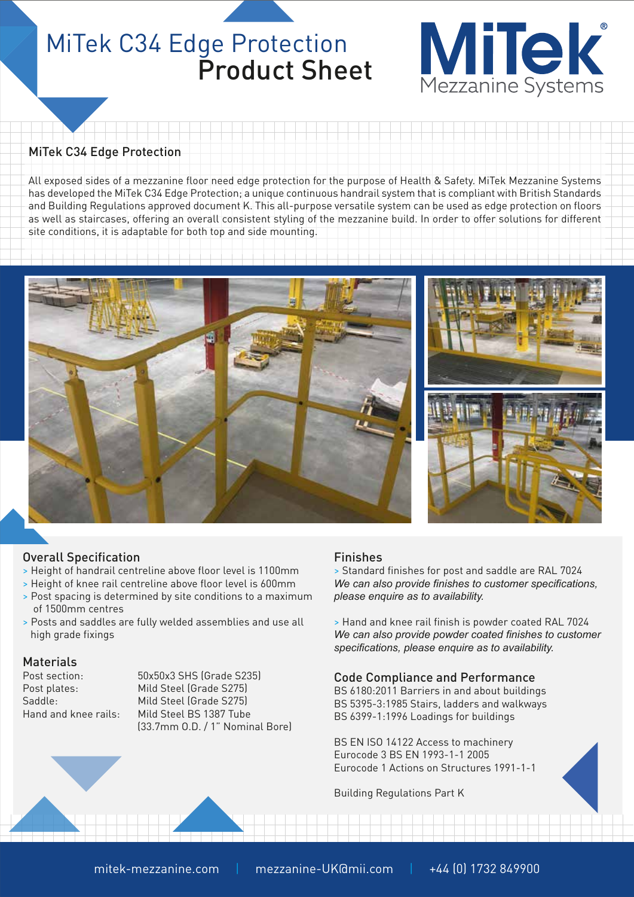### MiTek C34 Edge Protection Product Sheet



### MiTek C34 Edge Protection

All exposed sides of a mezzanine floor need edge protection for the purpose of Health & Safety. MiTek Mezzanine Systems has developed the MiTek C34 Edge Protection; a unique continuous handrail system that is compliant with British Standards and Building Regulations approved document K. This all-purpose versatile system can be used as edge protection on floors as well as staircases, offering an overall consistent styling of the mezzanine build. In order to offer solutions for different site conditions, it is adaptable for both top and side mounting.



### Overall Specification

- > Height of handrail centreline above floor level is 1100mm
- > Height of knee rail centreline above floor level is 600mm
- > Post spacing is determined by site conditions to a maximum of 1500mm centres
- > Posts and saddles are fully welded assemblies and use all high grade fixings

### **Materials**

Post section: 50x50x3 SHS (Grade S235) Post plates: Mild Steel (Grade S275) Saddle: Mild Steel (Grade S275) Hand and knee rails: Mild Steel BS 1387 Tube (33.7mm O.D. / 1" Nominal Bore)

### Finishes

> Standard finishes for post and saddle are RAL 7024 *We can also provide finishes to customer specifications, please enquire as to availability.*

> Hand and knee rail finish is powder coated RAL 7024 *We can also provide powder coated finishes to customer specifications, please enquire as to availability.*

### Code Compliance and Performance

BS 6180:2011 Barriers in and about buildings BS 5395-3:1985 Stairs, ladders and walkways BS 6399-1:1996 Loadings for buildings

BS EN ISO 14122 Access to machinery Eurocode 3 BS EN 1993-1-1 2005 Eurocode 1 Actions on Structures 1991-1-1

Building Regulations Part K

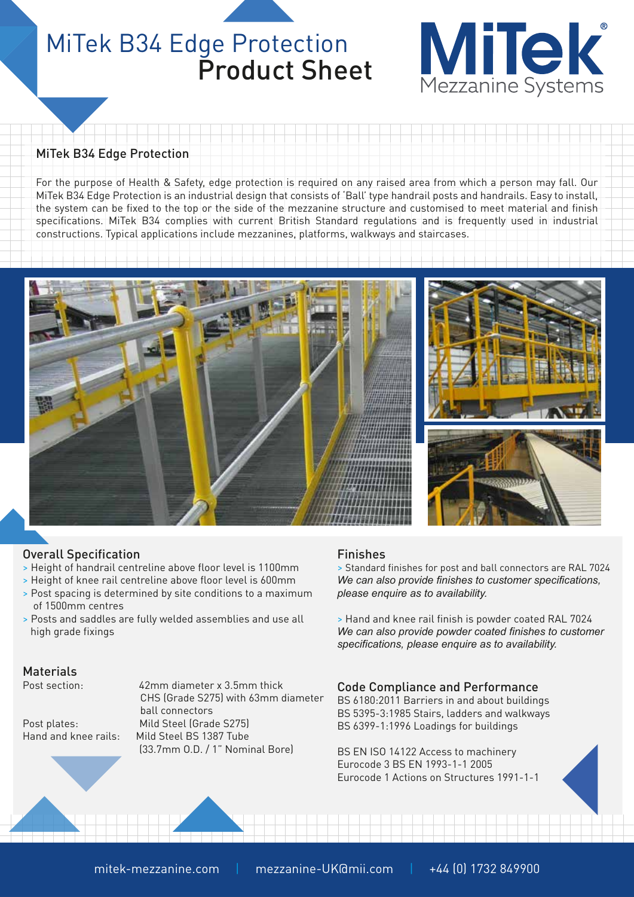## MiTek B34 Edge Protection Product Sheet



### MiTek B34 Edge Protection

For the purpose of Health & Safety, edge protection is required on any raised area from which a person may fall. Our MiTek B34 Edge Protection is an industrial design that consists of 'Ball' type handrail posts and handrails. Easy to install, the system can be fixed to the top or the side of the mezzanine structure and customised to meet material and finish specifications. MiTek B34 complies with current British Standard regulations and is frequently used in industrial constructions. Typical applications include mezzanines, platforms, walkways and staircases.



### Overall Specification

- > Height of handrail centreline above floor level is 1100mm
- > Height of knee rail centreline above floor level is 600mm
- > Post spacing is determined by site conditions to a maximum of 1500mm centres
- > Posts and saddles are fully welded assemblies and use all high grade fixings

### Materials

Post section: 42mm diameter x 3.5mm thick CHS (Grade S275) with 63mm diameter ball connectors Post plates: Mild Steel (Grade S275) Hand and knee rails: Mild Steel BS 1387 Tube (33.7mm O.D. / 1" Nominal Bore)

### Finishes

> Standard finishes for post and ball connectors are RAL 7024 *We can also provide finishes to customer specifications, please enquire as to availability.*

> Hand and knee rail finish is powder coated RAL 7024 *We can also provide powder coated finishes to customer specifications, please enquire as to availability.*

### Code Compliance and Performance

BS 6180:2011 Barriers in and about buildings BS 5395-3:1985 Stairs, ladders and walkways BS 6399-1:1996 Loadings for buildings

BS EN ISO 14122 Access to machinery Eurocode 3 BS EN 1993-1-1 2005 Eurocode 1 Actions on Structures 1991-1-1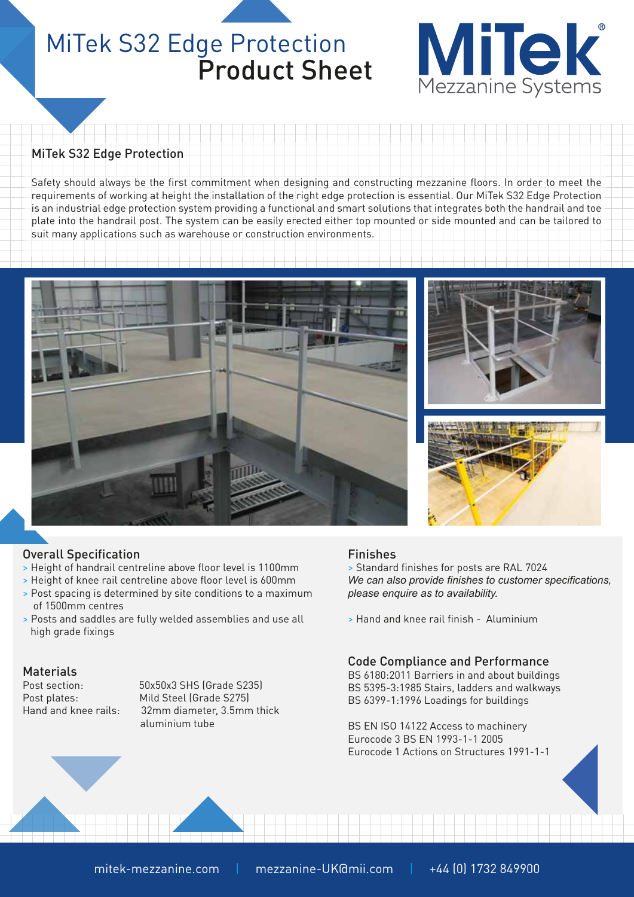### MiTek S32 Edge Protection Product Sheet



### MiTek S32 Edge Protection

Safety should always be the first commitment when designing and constructing mezzanine floors. In order to meet the requirements of working at height the installation of the right edge protection is essential. Our MiTek S32 Edge Protection is an industrial edge protection system providing a functional and smart solutions that integrates both the handrail and toe plate into the handrail post. The system can be easily erected either top mounted or side mounted and can be tailored to suit many applications such as warehouse or construction environments.







### Overall Specification

- > Height of handrail centreline above floor level is 1100mm
- > Height of knee rail centreline above floor level is 600mm
- > Post spacing is determined by site conditions to a maximum of 1500mm centres
- > Posts and saddles are fully welded assemblies and use all high grade fixings

### **Materials**

Post section: 50x50x3 SHS (Grade S235) Post plates: Mild Steel (Grade S275) Hand and knee rails: 32mm diameter, 3.5mm thick aluminium tube

### Finishes

> Standard finishes for posts are RAL 7024 *We can also provide finishes to customer specifications, please enquire as to availability.*

> Hand and knee rail finish - Aluminium

### Code Compliance and Performance

BS 6180:2011 Barriers in and about buildings BS 5395-3:1985 Stairs, ladders and walkways BS 6399-1:1996 Loadings for buildings

BS EN ISO 14122 Access to machinery Eurocode 3 BS EN 1993-1-1 2005 Eurocode 1 Actions on Structures 1991-1-1